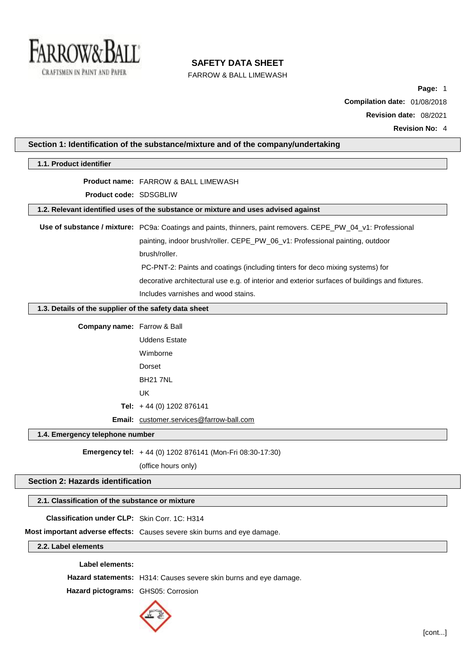

# **SAFETY DATA SHEET**

FARROW & BALL LIMEWASH

**Page:** 1 **Compilation date:** 01/08/2018 **Revision date:** 08/2021

| 1.1. Product identifier                                                            |                                                                                                              |  |
|------------------------------------------------------------------------------------|--------------------------------------------------------------------------------------------------------------|--|
|                                                                                    |                                                                                                              |  |
|                                                                                    | <b>Product name: FARROW &amp; BALL LIMEWASH</b>                                                              |  |
| <b>Product code: SDSGBLIW</b>                                                      |                                                                                                              |  |
| 1.2. Relevant identified uses of the substance or mixture and uses advised against |                                                                                                              |  |
|                                                                                    | Use of substance / mixture: PC9a: Coatings and paints, thinners, paint removers. CEPE_PW_04_v1: Professional |  |
|                                                                                    | painting, indoor brush/roller. CEPE_PW_06_v1: Professional painting, outdoor                                 |  |
|                                                                                    | brush/roller.                                                                                                |  |
|                                                                                    | PC-PNT-2: Paints and coatings (including tinters for deco mixing systems) for                                |  |
|                                                                                    | decorative architectural use e.g. of interior and exterior surfaces of buildings and fixtures.               |  |
|                                                                                    | Includes varnishes and wood stains.                                                                          |  |
| 1.3. Details of the supplier of the safety data sheet                              |                                                                                                              |  |
| Company name: Farrow & Ball                                                        |                                                                                                              |  |
|                                                                                    | <b>Uddens Estate</b>                                                                                         |  |
|                                                                                    | Wimborne                                                                                                     |  |
|                                                                                    | Dorset                                                                                                       |  |
|                                                                                    | <b>BH21 7NL</b>                                                                                              |  |
|                                                                                    | <b>UK</b>                                                                                                    |  |
|                                                                                    | Tel: $+44$ (0) 1202 876141                                                                                   |  |
|                                                                                    | Email: customer.services@farrow-ball.com                                                                     |  |
| 1.4. Emergency telephone number                                                    |                                                                                                              |  |
|                                                                                    | Emergency tel: +44 (0) 1202 876141 (Mon-Fri 08:30-17:30)                                                     |  |
|                                                                                    | (office hours only)                                                                                          |  |
| <b>Section 2: Hazards identification</b>                                           |                                                                                                              |  |
|                                                                                    |                                                                                                              |  |
| 2.1. Classification of the substance or mixture                                    |                                                                                                              |  |
| Classification under CLP: Skin Corr. 1C: H314                                      |                                                                                                              |  |
|                                                                                    | Most important adverse effects: Causes severe skin burns and eye damage.                                     |  |
| 2.2. Label elements                                                                |                                                                                                              |  |
| <b>Label elements:</b>                                                             |                                                                                                              |  |
|                                                                                    | Hazard statements: H314: Causes severe skin burns and eye damage.                                            |  |
| Hazard pictograms: GHS05: Corrosion                                                |                                                                                                              |  |

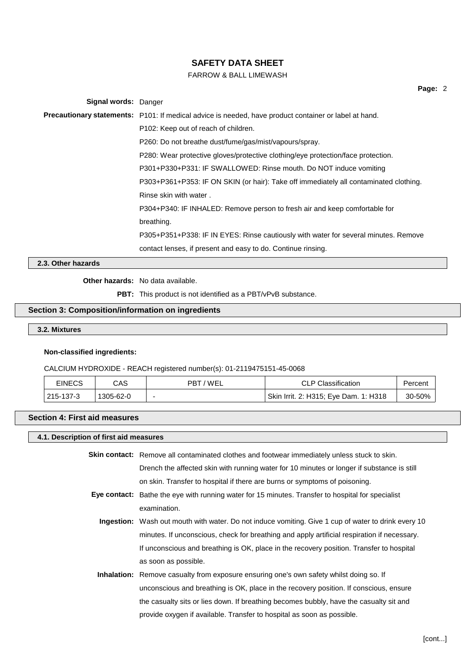# FARROW & BALL LIMEWASH

| Signal words: Danger |                                                                                                       |
|----------------------|-------------------------------------------------------------------------------------------------------|
|                      | Precautionary statements: P101: If medical advice is needed, have product container or label at hand. |
|                      | P102: Keep out of reach of children.                                                                  |
|                      | P260: Do not breathe dust/fume/gas/mist/vapours/spray.                                                |
|                      | P280: Wear protective gloves/protective clothing/eye protection/face protection.                      |
|                      | P301+P330+P331: IF SWALLOWED: Rinse mouth. Do NOT induce vomiting                                     |
|                      | P303+P361+P353: IF ON SKIN (or hair): Take off immediately all contaminated clothing.                 |
|                      | Rinse skin with water.                                                                                |
|                      | P304+P340: IF INHALED: Remove person to fresh air and keep comfortable for                            |
|                      | breathing.                                                                                            |
|                      | P305+P351+P338: IF IN EYES: Rinse cautiously with water for several minutes. Remove                   |

contact lenses, if present and easy to do. Continue rinsing.

**2.3. Other hazards**

## **Other hazards:** No data available.

**PBT:** This product is not identified as a PBT/vPvB substance.

# **Section 3: Composition/information on ingredients**

**3.2. Mixtures**

#### **Non-classified ingredients:**

#### CALCIUM HYDROXIDE - REACH registered number(s): 01-2119475151-45-0068

| <b>EINECS</b> | CAS       | PBT/WEL | <b>CLP Classification</b>             | Percent |
|---------------|-----------|---------|---------------------------------------|---------|
| 215-137-3     | 1305-62-0 | -       | Skin Irrit. 2: H315; Eye Dam. 1: H318 | 30-50%  |

# **Section 4: First aid measures**

# **4.1. Description of first aid measures**

**Skin contact:** Remove all contaminated clothes and footwear immediately unless stuck to skin. Drench the affected skin with running water for 10 minutes or longer if substance is still on skin. Transfer to hospital if there are burns or symptoms of poisoning.

- **Eye contact:** Bathe the eye with running water for 15 minutes. Transfer to hospital for specialist examination.
	- **Ingestion:** Wash out mouth with water. Do not induce vomiting. Give 1 cup of water to drink every 10 minutes. If unconscious, check for breathing and apply artificial respiration if necessary. If unconscious and breathing is OK, place in the recovery position. Transfer to hospital as soon as possible.
	- **Inhalation:** Remove casualty from exposure ensuring one's own safety whilst doing so. If unconscious and breathing is OK, place in the recovery position. If conscious, ensure the casualty sits or lies down. If breathing becomes bubbly, have the casualty sit and provide oxygen if available. Transfer to hospital as soon as possible.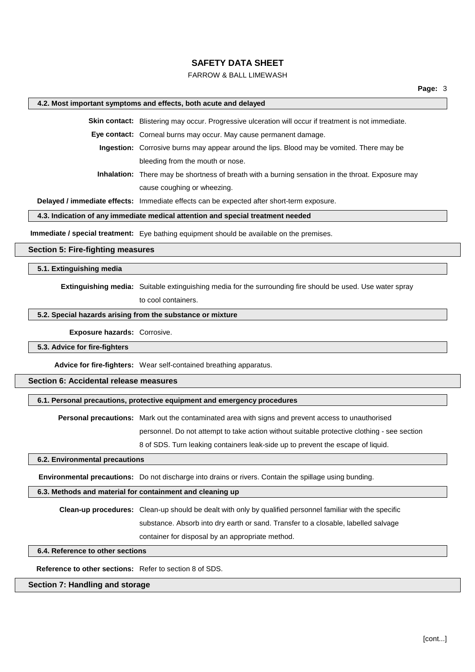### FARROW & BALL LIMEWASH

### **4.2. Most important symptoms and effects, both acute and delayed**

**Skin contact:** Blistering may occur. Progressive ulceration will occur if treatment is not immediate.

**Eye contact:** Corneal burns may occur. May cause permanent damage.

**Ingestion:** Corrosive burns may appear around the lips. Blood may be vomited. There may be bleeding from the mouth or nose.

**Inhalation:** There may be shortness of breath with a burning sensation in the throat. Exposure may cause coughing or wheezing.

**Delayed / immediate effects:** Immediate effects can be expected after short-term exposure.

# **4.3. Indication of any immediate medical attention and special treatment needed**

**Immediate / special treatment:** Eye bathing equipment should be available on the premises.

## **Section 5: Fire-fighting measures**

## **5.1. Extinguishing media**

**Extinguishing media:** Suitable extinguishing media for the surrounding fire should be used. Use water spray

to cool containers.

## **5.2. Special hazards arising from the substance or mixture**

**Exposure hazards:** Corrosive.

#### **5.3. Advice for fire-fighters**

**Advice for fire-fighters:** Wear self-contained breathing apparatus.

# **Section 6: Accidental release measures**

### **6.1. Personal precautions, protective equipment and emergency procedures**

**Personal precautions:** Mark out the contaminated area with signs and prevent access to unauthorised

personnel. Do not attempt to take action without suitable protective clothing - see section

8 of SDS. Turn leaking containers leak-side up to prevent the escape of liquid.

# **6.2. Environmental precautions**

**Environmental precautions:** Do not discharge into drains or rivers. Contain the spillage using bunding.

#### **6.3. Methods and material for containment and cleaning up**

**Clean-up procedures:** Clean-up should be dealt with only by qualified personnel familiar with the specific substance. Absorb into dry earth or sand. Transfer to a closable, labelled salvage container for disposal by an appropriate method.

#### **6.4. Reference to other sections**

**Reference to other sections:** Refer to section 8 of SDS.

## **Section 7: Handling and storage**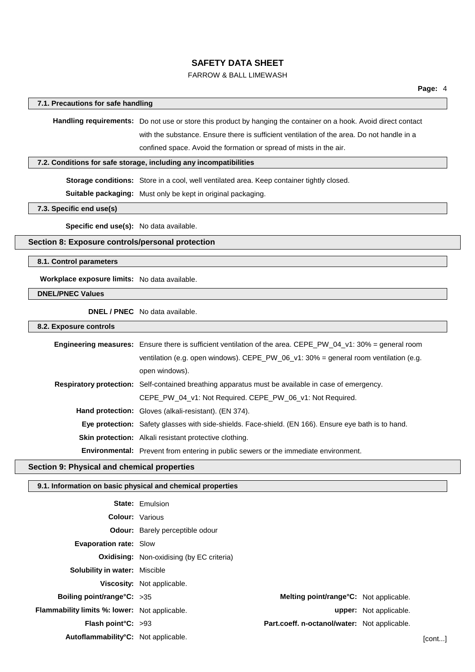# FARROW & BALL LIMEWASH

### **7.1. Precautions for safe handling**

**Handling requirements:** Do not use or store this product by hanging the container on a hook. Avoid direct contact with the substance. Ensure there is sufficient ventilation of the area. Do not handle in a confined space. Avoid the formation or spread of mists in the air.

#### **7.2. Conditions for safe storage, including any incompatibilities**

**Storage conditions:** Store in a cool, well ventilated area. Keep container tightly closed.

**Suitable packaging:** Must only be kept in original packaging.

**7.3. Specific end use(s)**

**Specific end use(s):** No data available.

# **Section 8: Exposure controls/personal protection**

**8.1. Control parameters**

**Workplace exposure limits:** No data available.

**DNEL/PNEC Values**

**DNEL / PNEC** No data available.

**8.2. Exposure controls**

| <b>Engineering measures:</b> Ensure there is sufficient ventilation of the area. CEPE_PW_04_v1: 30% = general room |
|--------------------------------------------------------------------------------------------------------------------|
| ventilation (e.g. open windows). CEPE_PW_06_v1: 30% = general room ventilation (e.g.                               |
| open windows).                                                                                                     |
| <b>Respiratory protection:</b> Self-contained breathing apparatus must be available in case of emergency.          |
| CEPE_PW_04_v1: Not Required. CEPE_PW_06_v1: Not Required.                                                          |
| <b>Hand protection:</b> Gloves (alkali-resistant). (EN 374).                                                       |
| Eye protection: Safety glasses with side-shields. Face-shield. (EN 166). Ensure eye bath is to hand.               |
| <b>Skin protection:</b> Alkali resistant protective clothing.                                                      |
| <b>Environmental:</b> Prevent from entering in public sewers or the immediate environment.                         |

# **Section 9: Physical and chemical properties**

#### **9.1. Information on basic physical and chemical properties**

|                                                      | <b>State: Emulsion</b>                           |                                              |                               |         |
|------------------------------------------------------|--------------------------------------------------|----------------------------------------------|-------------------------------|---------|
| <b>Colour: Various</b>                               |                                                  |                                              |                               |         |
|                                                      | <b>Odour:</b> Barely perceptible odour           |                                              |                               |         |
| <b>Evaporation rate: Slow</b>                        |                                                  |                                              |                               |         |
|                                                      | <b>Oxidising:</b> Non-oxidising (by EC criteria) |                                              |                               |         |
| <b>Solubility in water: Miscible</b>                 |                                                  |                                              |                               |         |
|                                                      | <b>Viscosity:</b> Not applicable.                |                                              |                               |         |
| Boiling point/range $C: >35$                         |                                                  | Melting point/range°C: Not applicable.       |                               |         |
| <b>Flammability limits %: lower:</b> Not applicable. |                                                  |                                              | <b>upper:</b> Not applicable. |         |
| Flash point $C: >93$                                 |                                                  | Part.coeff. n-octanol/water: Not applicable. |                               |         |
| Autoflammability°C: Not applicable.                  |                                                  |                                              |                               | [cont…] |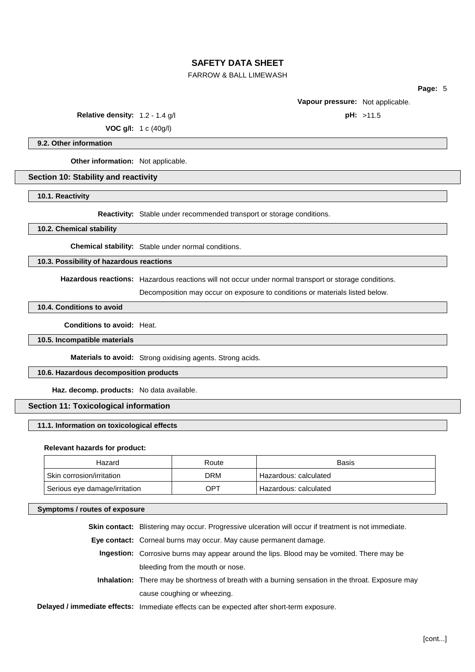# FARROW & BALL LIMEWASH

**Page:** 5

**Vapour pressure:** Not applicable.

**Relative density:** 1.2 - 1.4 g/l **pH:** >11.5

**VOC g/l:** 1 c (40g/l)

**9.2. Other information**

**Other information:** Not applicable.

#### **Section 10: Stability and reactivity**

**10.1. Reactivity**

**Reactivity:** Stable under recommended transport or storage conditions.

**10.2. Chemical stability**

**Chemical stability:** Stable under normal conditions.

**10.3. Possibility of hazardous reactions**

**Hazardous reactions:** Hazardous reactions will not occur under normal transport or storage conditions.

Decomposition may occur on exposure to conditions or materials listed below.

## **10.4. Conditions to avoid**

**Conditions to avoid:** Heat.

**10.5. Incompatible materials**

**Materials to avoid:** Strong oxidising agents. Strong acids.

## **10.6. Hazardous decomposition products**

**Haz. decomp. products:** No data available.

# **Section 11: Toxicological information**

#### **11.1. Information on toxicological effects**

#### **Relevant hazards for product:**

| Hazard                        | Route | <b>Basis</b>          |
|-------------------------------|-------|-----------------------|
| Skin corrosion/irritation     | DRM   | Hazardous: calculated |
| Serious eye damage/irritation | OPT   | Hazardous: calculated |

#### **Symptoms / routes of exposure**

**Skin contact:** Blistering may occur. Progressive ulceration will occur if treatment is not immediate.

**Eye contact:** Corneal burns may occur. May cause permanent damage.

- **Ingestion:** Corrosive burns may appear around the lips. Blood may be vomited. There may be bleeding from the mouth or nose.
- **Inhalation:** There may be shortness of breath with a burning sensation in the throat. Exposure may cause coughing or wheezing.
- **Delayed / immediate effects:** Immediate effects can be expected after short-term exposure.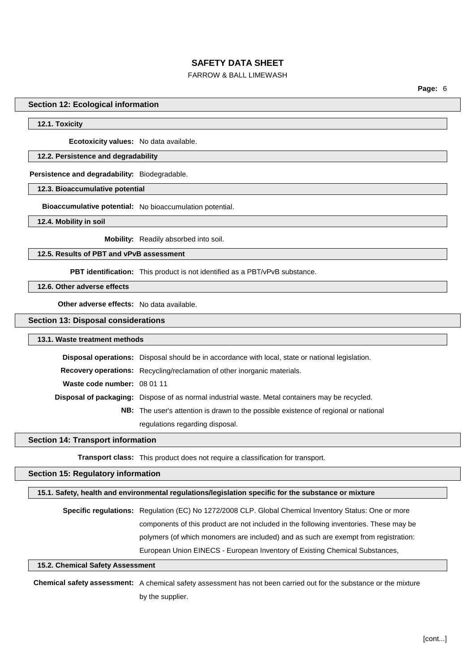# FARROW & BALL LIMEWASH

**Page:** 6

#### **Section 12: Ecological information**

### **12.1. Toxicity**

**Ecotoxicity values:** No data available.

### **12.2. Persistence and degradability**

**Persistence and degradability:** Biodegradable.

**12.3. Bioaccumulative potential**

**Bioaccumulative potential:** No bioaccumulation potential.

**12.4. Mobility in soil**

**Mobility:** Readily absorbed into soil.

### **12.5. Results of PBT and vPvB assessment**

**PBT identification:** This product is not identified as a PBT/vPvB substance.

**12.6. Other adverse effects**

**Other adverse effects:** No data available.

### **Section 13: Disposal considerations**

#### **13.1. Waste treatment methods**

|                             | Disposal operations: Disposal should be in accordance with local, state or national legislation. |
|-----------------------------|--------------------------------------------------------------------------------------------------|
|                             | Recovery operations: Recycling/reclamation of other inorganic materials.                         |
| Waste code number: 08 01 11 |                                                                                                  |
|                             | Disposal of packaging: Dispose of as normal industrial waste. Metal containers may be recycled.  |
|                             | <b>NB:</b> The user's attention is drawn to the possible existence of regional or national       |
|                             | regulations regarding disposal.                                                                  |

#### **Section 14: Transport information**

**Transport class:** This product does not require a classification for transport.

# **Section 15: Regulatory information**

## **15.1. Safety, health and environmental regulations/legislation specific for the substance or mixture**

**Specific regulations:** Regulation (EC) No 1272/2008 CLP. Global Chemical Inventory Status: One or more components of this product are not included in the following inventories. These may be polymers (of which monomers are included) and as such are exempt from registration: European Union EINECS - European Inventory of Existing Chemical Substances,

# **15.2. Chemical Safety Assessment**

**Chemical safety assessment:** A chemical safety assessment has not been carried out for the substance or the mixture by the supplier.